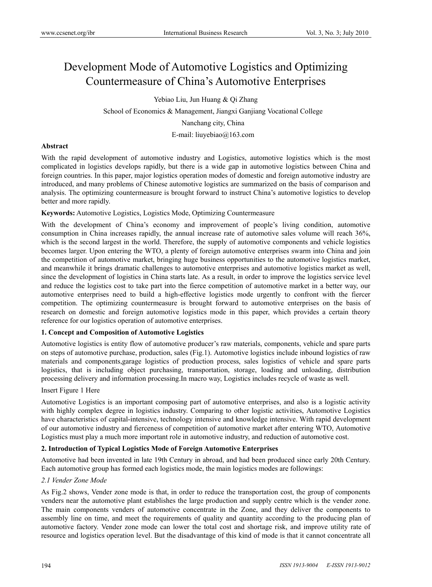# Development Mode of Automotive Logistics and Optimizing Countermeasure of China's Automotive Enterprises

Yebiao Liu, Jun Huang & Qi Zhang

School of Economics & Management, Jiangxi Ganjiang Vocational College Nanchang city, China

E-mail: liuyebiao@163.com

# **Abstract**

With the rapid development of automotive industry and Logistics, automotive logistics which is the most complicated in logistics develops rapidly, but there is a wide gap in automotive logistics between China and foreign countries. In this paper, major logistics operation modes of domestic and foreign automotive industry are introduced, and many problems of Chinese automotive logistics are summarized on the basis of comparison and analysis. The optimizing countermeasure is brought forward to instruct China's automotive logistics to develop better and more rapidly.

# **Keywords:** Automotive Logistics, Logistics Mode, Optimizing Countermeasure

With the development of China's economy and improvement of people's living condition, automotive consumption in China increases rapidly, the annual increase rate of automotive sales volume will reach 36%, which is the second largest in the world. Therefore, the supply of automotive components and vehicle logistics becomes larger. Upon entering the WTO, a plenty of foreign automotive enterprises swarm into China and join the competition of automotive market, bringing huge business opportunities to the automotive logistics market, and meanwhile it brings dramatic challenges to automotive enterprises and automotive logistics market as well, since the development of logistics in China starts late. As a result, in order to improve the logistics service level and reduce the logistics cost to take part into the fierce competition of automotive market in a better way, our automotive enterprises need to build a high-effective logistics mode urgently to confront with the fiercer competition. The optimizing countermeasure is brought forward to automotive enterprises on the basis of research on domestic and foreign automotive logistics mode in this paper, which provides a certain theory reference for our logistics operation of automotive enterprises.

# **1. Concept and Composition of Automotive Logistics**

Automotive logistics is entity flow of automotive producer's raw materials, components, vehicle and spare parts on steps of automotive purchase, production, sales (Fig.1). Automotive logistics include inbound logistics of raw materials and components,garage logistics of production process, sales logistics of vehicle and spare parts logistics, that is including object purchasing, transportation, storage, loading and unloading, distribution processing delivery and information processing.In macro way, Logistics includes recycle of waste as well.

## Insert Figure 1 Here

Automotive Logistics is an important composing part of automotive enterprises, and also is a logistic activity with highly complex degree in logistics industry. Comparing to other logistic activities, Automotive Logistics have characteristics of capital-intensive, technology intensive and knowledge intensive. With rapid development of our automotive industry and fierceness of competition of automotive market after entering WTO, Automotive Logistics must play a much more important role in automotive industry, and reduction of automotive cost.

## **2. Introduction of Typical Logistics Mode of Foreign Automotive Enterprises**

Automotive had been invented in late 19th Century in abroad, and had been produced since early 20th Century. Each automotive group has formed each logistics mode, the main logistics modes are followings:

## *2.1 Vender Zone Mode*

As Fig.2 shows, Vender zone mode is that, in order to reduce the transportation cost, the group of components venders near the automotive plant establishes the large production and supply centre which is the vender zone. The main components venders of automotive concentrate in the Zone, and they deliver the components to assembly line on time, and meet the requirements of quality and quantity according to the producing plan of automotive factory. Vender zone mode can lower the total cost and shortage risk, and improve utility rate of resource and logistics operation level. But the disadvantage of this kind of mode is that it cannot concentrate all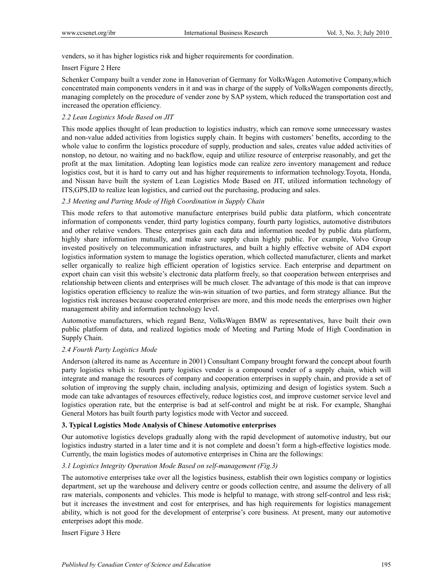venders, so it has higher logistics risk and higher requirements for coordination.

## Insert Figure 2 Here

Schenker Company built a vender zone in Hanoverian of Germany for VolksWagen Automotive Company,which concentrated main components venders in it and was in charge of the supply of VolksWagen components directly, managing completely on the procedure of vender zone by SAP system, which reduced the transportation cost and increased the operation efficiency.

# *2.2 Lean Logistics Mode Based on JIT*

This mode applies thought of lean production to logistics industry, which can remove some unnecessary wastes and non-value added activities from logistics supply chain. It begins with customers' benefits, according to the whole value to confirm the logistics procedure of supply, production and sales, creates value added activities of nonstop, no detour, no waiting and no backflow, equip and utilize resource of enterprise reasonably, and get the profit at the max limitation. Adopting lean logistics mode can realize zero inventory management and reduce logistics cost, but it is hard to carry out and has higher requirements to information technology.Toyota, Honda, and Nissan have built the system of Lean Logistics Mode Based on JIT, utilized information technology of ITS,GPS,ID to realize lean logistics, and carried out the purchasing, producing and sales.

# *2.3 Meeting and Parting Mode of High Coordination in Supply Chain*

This mode refers to that automotive manufacture enterprises build public data platform, which concentrate information of components vender, third party logistics company, fourth party logistics, automotive distributors and other relative vendors. These enterprises gain each data and information needed by public data platform, highly share information mutually, and make sure supply chain highly public. For example, Volvo Group invested positively on telecommunication infrastructures, and built a highly effective website of AD4 export logistics information system to manage the logistics operation, which collected manufacturer, clients and market seller organically to realize high efficient operation of logistics service. Each enterprise and department on export chain can visit this website's electronic data platform freely, so that cooperation between enterprises and relationship between clients and enterprises will be much closer. The advantage of this mode is that can improve logistics operation efficiency to realize the win-win situation of two parties, and form strategy alliance. But the logistics risk increases because cooperated enterprises are more, and this mode needs the enterprises own higher management ability and information technology level.

Automotive manufacturers, which regard Benz, VolksWagen BMW as representatives, have built their own public platform of data, and realized logistics mode of Meeting and Parting Mode of High Coordination in Supply Chain.

# *2.4 Fourth Party Logistics Mode*

Anderson (altered its name as Accenture in 2001) Consultant Company brought forward the concept about fourth party logistics which is: fourth party logistics vender is a compound vender of a supply chain, which will integrate and manage the resources of company and cooperation enterprises in supply chain, and provide a set of solution of improving the supply chain, including analysis, optimizing and design of logistics system. Such a mode can take advantages of resources effectively, reduce logistics cost, and improve customer service level and logistics operation rate, but the enterprise is bad at self-control and might be at risk. For example, Shanghai General Motors has built fourth party logistics mode with Vector and succeed.

## **3. Typical Logistics Mode Analysis of Chinese Automotive enterprises**

Our automotive logistics develops gradually along with the rapid development of automotive industry, but our logistics industry started in a later time and it is not complete and doesn't form a high-effective logistics mode. Currently, the main logistics modes of automotive enterprises in China are the followings:

# *3.1 Logistics Integrity Operation Mode Based on self-management (Fig.3)*

The automotive enterprises take over all the logistics business, establish their own logistics company or logistics department, set up the warehouse and delivery centre or goods collection centre, and assume the delivery of all raw materials, components and vehicles. This mode is helpful to manage, with strong self-control and less risk; but it increases the investment and cost for enterprises, and has high requirements for logistics management ability, which is not good for the development of enterprise's core business. At present, many our automotive enterprises adopt this mode.

Insert Figure 3 Here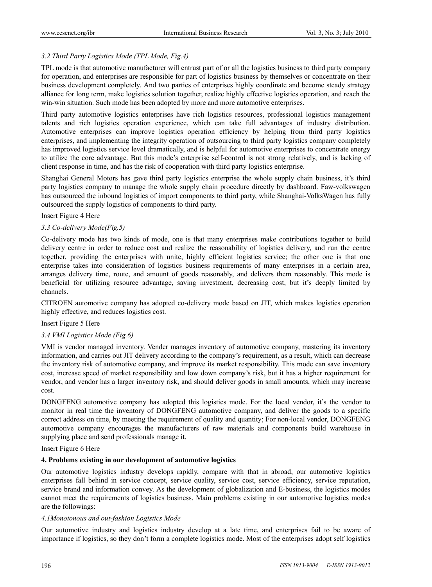# *3.2 Third Party Logistics Mode (TPL Mode, Fig.4)*

TPL mode is that automotive manufacturer will entrust part of or all the logistics business to third party company for operation, and enterprises are responsible for part of logistics business by themselves or concentrate on their business development completely. And two parties of enterprises highly coordinate and become steady strategy alliance for long term, make logistics solution together, realize highly effective logistics operation, and reach the win-win situation. Such mode has been adopted by more and more automotive enterprises.

Third party automotive logistics enterprises have rich logistics resources, professional logistics management talents and rich logistics operation experience, which can take full advantages of industry distribution. Automotive enterprises can improve logistics operation efficiency by helping from third party logistics enterprises, and implementing the integrity operation of outsourcing to third party logistics company completely has improved logistics service level dramatically, and is helpful for automotive enterprises to concentrate energy to utilize the core advantage. But this mode's enterprise self-control is not strong relatively, and is lacking of client response in time, and has the risk of cooperation with third party logistics enterprise.

Shanghai General Motors has gave third party logistics enterprise the whole supply chain business, it's third party logistics company to manage the whole supply chain procedure directly by dashboard. Faw-volkswagen has outsourced the inbound logistics of import components to third party, while Shanghai-VolksWagen has fully outsourced the supply logistics of components to third party.

## Insert Figure 4 Here

## *3.3 Co-delivery Mode(Fig.5)*

Co-delivery mode has two kinds of mode, one is that many enterprises make contributions together to build delivery centre in order to reduce cost and realize the reasonability of logistics delivery, and run the centre together, providing the enterprises with unite, highly efficient logistics service; the other one is that one enterprise takes into consideration of logistics business requirements of many enterprises in a certain area, arranges delivery time, route, and amount of goods reasonably, and delivers them reasonably. This mode is beneficial for utilizing resource advantage, saving investment, decreasing cost, but it's deeply limited by channels.

CITROEN automotive company has adopted co-delivery mode based on JIT, which makes logistics operation highly effective, and reduces logistics cost.

# Insert Figure 5 Here

## *3.4 VMI Logistics Mode (Fig.6)*

VMI is vendor managed inventory. Vender manages inventory of automotive company, mastering its inventory information, and carries out JIT delivery according to the company's requirement, as a result, which can decrease the inventory risk of automotive company, and improve its market responsibility. This mode can save inventory cost, increase speed of market responsibility and low down company's risk, but it has a higher requirement for vendor, and vendor has a larger inventory risk, and should deliver goods in small amounts, which may increase cost.

DONGFENG automotive company has adopted this logistics mode. For the local vendor, it's the vendor to monitor in real time the inventory of DONGFENG automotive company, and deliver the goods to a specific correct address on time, by meeting the requirement of quality and quantity; For non-local vendor, DONGFENG automotive company encourages the manufacturers of raw materials and components build warehouse in supplying place and send professionals manage it.

#### Insert Figure 6 Here

## **4. Problems existing in our development of automotive logistics**

Our automotive logistics industry develops rapidly, compare with that in abroad, our automotive logistics enterprises fall behind in service concept, service quality, service cost, service efficiency, service reputation, service brand and information convey. As the development of globalization and E-business, the logistics modes cannot meet the requirements of logistics business. Main problems existing in our automotive logistics modes are the followings:

#### *4.1Monotonous and out-fashion Logistics Mode*

Our automotive industry and logistics industry develop at a late time, and enterprises fail to be aware of importance if logistics, so they don't form a complete logistics mode. Most of the enterprises adopt self logistics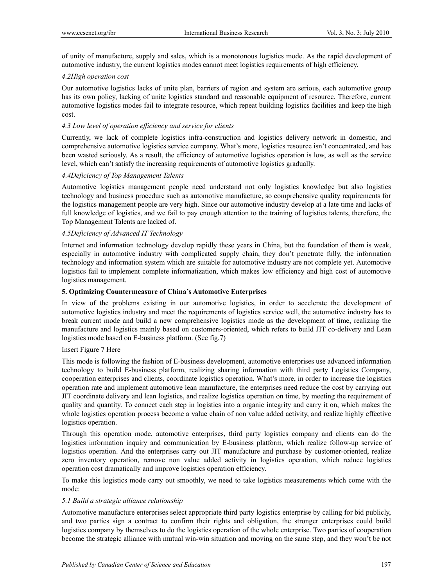of unity of manufacture, supply and sales, which is a monotonous logistics mode. As the rapid development of automotive industry, the current logistics modes cannot meet logistics requirements of high efficiency.

## *4.2High operation cost*

Our automotive logistics lacks of unite plan, barriers of region and system are serious, each automotive group has its own policy, lacking of unite logistics standard and reasonable equipment of resource. Therefore, current automotive logistics modes fail to integrate resource, which repeat building logistics facilities and keep the high cost.

# *4.3 Low level of operation efficiency and service for clients*

Currently, we lack of complete logistics infra-construction and logistics delivery network in domestic, and comprehensive automotive logistics service company. What's more, logistics resource isn't concentrated, and has been wasted seriously. As a result, the efficiency of automotive logistics operation is low, as well as the service level, which can't satisfy the increasing requirements of automotive logistics gradually.

# *4.4Deficiency of Top Management Talents*

Automotive logistics management people need understand not only logistics knowledge but also logistics technology and business procedure such as automotive manufacture, so comprehensive quality requirements for the logistics management people are very high. Since our automotive industry develop at a late time and lacks of full knowledge of logistics, and we fail to pay enough attention to the training of logistics talents, therefore, the Top Management Talents are lacked of.

# *4.5Deficiency of Advanced IT Technology*

Internet and information technology develop rapidly these years in China, but the foundation of them is weak, especially in automotive industry with complicated supply chain, they don't penetrate fully, the information technology and information system which are suitable for automotive industry are not complete yet. Automotive logistics fail to implement complete informatization, which makes low efficiency and high cost of automotive logistics management.

# **5. Optimizing Countermeasure of China's Automotive Enterprises**

In view of the problems existing in our automotive logistics, in order to accelerate the development of automotive logistics industry and meet the requirements of logistics service well, the automotive industry has to break current mode and build a new comprehensive logistics mode as the development of time, realizing the manufacture and logistics mainly based on customers-oriented, which refers to build JIT co-delivery and Lean logistics mode based on E-business platform. (See fig.7)

## Insert Figure 7 Here

This mode is following the fashion of E-business development, automotive enterprises use advanced information technology to build E-business platform, realizing sharing information with third party Logistics Company, cooperation enterprises and clients, coordinate logistics operation. What's more, in order to increase the logistics operation rate and implement automotive lean manufacture, the enterprises need reduce the cost by carrying out JIT coordinate delivery and lean logistics, and realize logistics operation on time, by meeting the requirement of quality and quantity. To connect each step in logistics into a organic integrity and carry it on, which makes the whole logistics operation process become a value chain of non value added activity, and realize highly effective logistics operation.

Through this operation mode, automotive enterprises, third party logistics company and clients can do the logistics information inquiry and communication by E-business platform, which realize follow-up service of logistics operation. And the enterprises carry out JIT manufacture and purchase by customer-oriented, realize zero inventory operation, remove non value added activity in logistics operation, which reduce logistics operation cost dramatically and improve logistics operation efficiency.

To make this logistics mode carry out smoothly, we need to take logistics measurements which come with the mode:

## *5.1 Build a strategic alliance relationship*

Automotive manufacture enterprises select appropriate third party logistics enterprise by calling for bid publicly, and two parties sign a contract to confirm their rights and obligation, the stronger enterprises could build logistics company by themselves to do the logistics operation of the whole enterprise. Two parties of cooperation become the strategic alliance with mutual win-win situation and moving on the same step, and they won't be not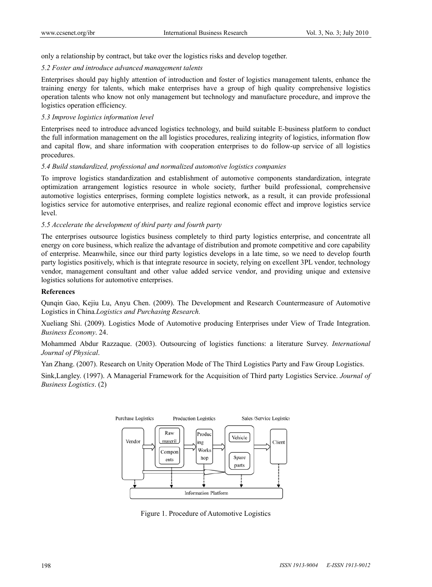only a relationship by contract, but take over the logistics risks and develop together.

#### *5.2 Foster and introduce advanced management talents*

Enterprises should pay highly attention of introduction and foster of logistics management talents, enhance the training energy for talents, which make enterprises have a group of high quality comprehensive logistics operation talents who know not only management but technology and manufacture procedure, and improve the logistics operation efficiency.

#### *5.3 Improve logistics information level*

Enterprises need to introduce advanced logistics technology, and build suitable E-business platform to conduct the full information management on the all logistics procedures, realizing integrity of logistics, information flow and capital flow, and share information with cooperation enterprises to do follow-up service of all logistics procedures.

#### *5.4 Build standardized, professional and normalized automotive logistics companies*

To improve logistics standardization and establishment of automotive components standardization, integrate optimization arrangement logistics resource in whole society, further build professional, comprehensive automotive logistics enterprises, forming complete logistics network, as a result, it can provide professional logistics service for automotive enterprises, and realize regional economic effect and improve logistics service level.

#### *5.5 Accelerate the development of third party and fourth party*

The enterprises outsource logistics business completely to third party logistics enterprise, and concentrate all energy on core business, which realize the advantage of distribution and promote competitive and core capability of enterprise. Meanwhile, since our third party logistics develops in a late time, so we need to develop fourth party logistics positively, which is that integrate resource in society, relying on excellent 3PL vendor, technology vendor, management consultant and other value added service vendor, and providing unique and extensive logistics solutions for automotive enterprises.

#### **References**

Qunqin Gao, Kejiu Lu, Anyu Chen. (2009). The Development and Research Countermeasure of Automotive Logistics in China*.Logistics and Purchasing Research.*

Xueliang Shi. (2009). Logistics Mode of Automotive producing Enterprises under View of Trade Integration. *Business Economy*. 24.

Mohammed Abdur Razzaque. (2003). Outsourcing of logistics functions: a literature Survey. *International Journal of Physical*.

Yan Zhang. (2007). Research on Unity Operation Mode of The Third Logistics Party and Faw Group Logistics.

Sink,Langley. (1997). A Managerial Framework for the Acquisition of Third party Logistics Service. *Journal of Business Logistics*. (2)



Figure 1. Procedure of Automotive Logistics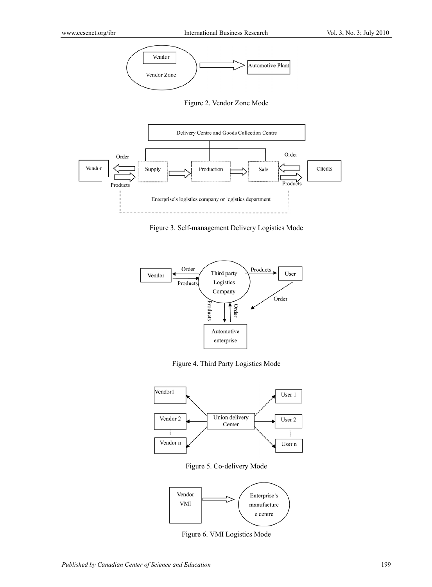

Figure 2. Vendor Zone Mode



Figure 3. Self-management Delivery Logistics Mode



Figure 4. Third Party Logistics Mode



Figure 5. Co-delivery Mode



Figure 6. VMI Logistics Mode